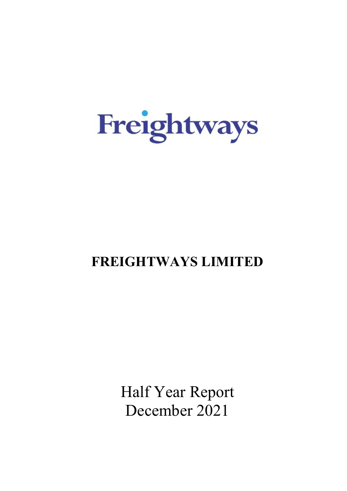

# **FREIGHTWAYS LIMITED**

Half Year Report December 2021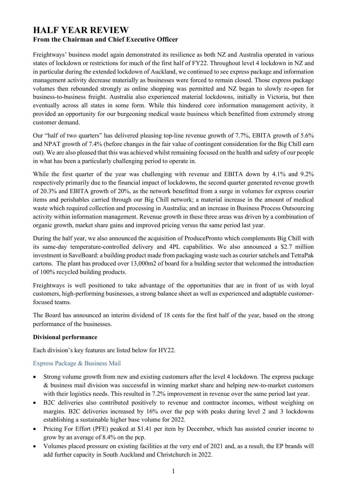# **HALF YEAR REVIEW From the Chairman and Chief Executive Officer**

Freightways' business model again demonstrated its resilience as both NZ and Australia operated in various states of lockdown or restrictions for much of the first half of FY22. Throughout level 4 lockdown in NZ and in particular during the extended lockdown of Auckland, we continued to see express package and information management activity decrease materially as businesses were forced to remain closed. Those express package volumes then rebounded strongly as online shopping was permitted and NZ began to slowly re-open for business-to-business freight. Australia also experienced material lockdowns, initially in Victoria, but then eventually across all states in some form. While this hindered core information management activity, it provided an opportunity for our burgeoning medical waste business which benefitted from extremely strong customer demand.

Our "half of two quarters" has delivered pleasing top-line revenue growth of 7.7%, EBITA growth of 5.6% and NPAT growth of 7.4% (before changes in the fair value of contingent consideration for the Big Chill earn out). We are also pleased that this was achieved whilst remaining focused on the health and safety of our people in what has been a particularly challenging period to operate in.

While the first quarter of the year was challenging with revenue and EBITA down by 4.1% and 9.2% respectively primarily due to the financial impact of lockdowns, the second quarter generated revenue growth of 20.3% and EBITA growth of 20%, as the network benefitted from a surge in volumes for express courier items and perishables carried through our Big Chill network; a material increase in the amount of medical waste which required collection and processing in Australia; and an increase in Business Process Outsourcing activity within information management. Revenue growth in these three areas was driven by a combination of organic growth, market share gains and improved pricing versus the same period last year.

During the half year, we also announced the acquisition of ProducePronto which complements Big Chill with its same-day temperature-controlled delivery and 4PL capabilities. We also announced a \$2.7 million investment in SaveBoard: a building product made from packaging waste such as courier satchels and TetraPak cartons. The plant has produced over 13,000m2 of board for a building sector that welcomed the introduction of 100% recycled building products.

Freightways is well positioned to take advantage of the opportunities that are in front of us with loyal customers, high-performing businesses, a strong balance sheet as well as experienced and adaptable customerfocused teams.

The Board has announced an interim dividend of 18 cents for the first half of the year, based on the strong performance of the businesses.

# **Divisional performance**

Each division's key features are listed below for HY22.

# Express Package & Business Mail

- Strong volume growth from new and existing customers after the level 4 lockdown. The express package & business mail division was successful in winning market share and helping new-to-market customers with their logistics needs. This resulted in 7.2% improvement in revenue over the same period last year.
- B2C deliveries also contributed positively to revenue and contractor incomes, without weighing on margins. B2C deliveries increased by 16% over the pcp with peaks during level 2 and 3 lockdowns establishing a sustainable higher base volume for 2022.
- Pricing For Effort (PFE) peaked at \$1.41 per item by December, which has assisted courier income to grow by an average of 8.4% on the pcp.
- Volumes placed pressure on existing facilities at the very end of 2021 and, as a result, the EP brands will add further capacity in South Auckland and Christchurch in 2022.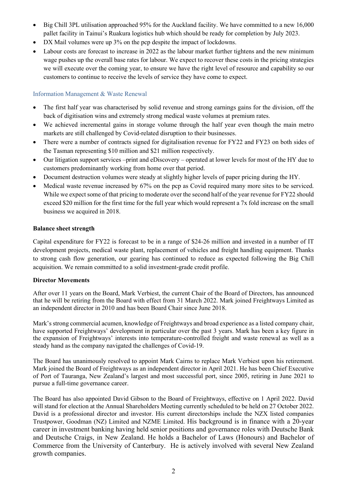- Big Chill 3PL utilisation approached 95% for the Auckland facility. We have committed to a new 16,000 pallet facility in Tainui's Ruakura logistics hub which should be ready for completion by July 2023.
- DX Mail volumes were up 3% on the pcp despite the impact of lockdowns.
- Labour costs are forecast to increase in 2022 as the labour market further tightens and the new minimum wage pushes up the overall base rates for labour. We expect to recover these costs in the pricing strategies we will execute over the coming year, to ensure we have the right level of resource and capability so our customers to continue to receive the levels of service they have come to expect.

# Information Management & Waste Renewal

- The first half year was characterised by solid revenue and strong earnings gains for the division, off the back of digitisation wins and extremely strong medical waste volumes at premium rates.
- We achieved incremental gains in storage volume through the half year even though the main metro markets are still challenged by Covid-related disruption to their businesses.
- There were a number of contracts signed for digitalisation revenue for FY22 and FY23 on both sides of the Tasman representing \$10 million and \$21 million respectively.
- Our litigation support services –print and eDiscovery operated at lower levels for most of the HY due to customers predominantly working from home over that period.
- Document destruction volumes were steady at slightly higher levels of paper pricing during the HY.
- Medical waste revenue increased by 67% on the pcp as Covid required many more sites to be serviced. While we expect some of that pricing to moderate over the second half of the year revenue for FY22 should exceed \$20 million for the first time for the full year which would represent a 7x fold increase on the small business we acquired in 2018.

## **Balance sheet strength**

Capital expenditure for FY22 is forecast to be in a range of \$24-26 million and invested in a number of IT development projects, medical waste plant, replacement of vehicles and freight handling equipment. Thanks to strong cash flow generation, our gearing has continued to reduce as expected following the Big Chill acquisition. We remain committed to a solid investment-grade credit profile.

### **Director Movements**

After over 11 years on the Board, Mark Verbiest, the current Chair of the Board of Directors, has announced that he will be retiring from the Board with effect from 31 March 2022. Mark joined Freightways Limited as an independent director in 2010 and has been Board Chair since June 2018.

Mark's strong commercial acumen, knowledge of Freightways and broad experience as a listed company chair, have supported Freightways' development in particular over the past 3 years. Mark has been a key figure in the expansion of Freightways' interests into temperature-controlled freight and waste renewal as well as a steady hand as the company navigated the challenges of Covid-19.

The Board has unanimously resolved to appoint Mark Cairns to replace Mark Verbiest upon his retirement. Mark joined the Board of Freightways as an independent director in April 2021. He has been Chief Executive of Port of Tauranga, New Zealand's largest and most successful port, since 2005, retiring in June 2021 to pursue a full-time governance career.

The Board has also appointed David Gibson to the Board of Freightways, effective on 1 April 2022. David will stand for election at the Annual Shareholders Meeting currently scheduled to be held on 27 October 2022. David is a professional director and investor. His current directorships include the NZX listed companies Trustpower, Goodman (NZ) Limited and NZME Limited. His background is in finance with a 20-year career in investment banking having held senior positions and governance roles with Deutsche Bank and Deutsche Craigs, in New Zealand. He holds a Bachelor of Laws (Honours) and Bachelor of Commerce from the University of Canterbury. He is actively involved with several New Zealand growth companies.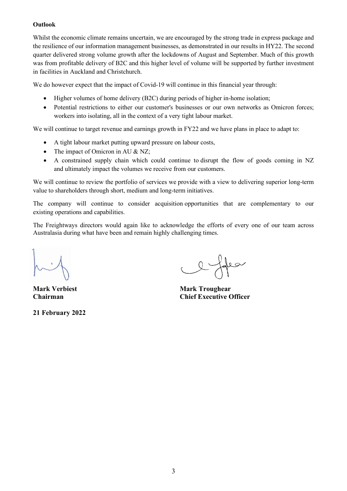# **Outlook**

Whilst the economic climate remains uncertain, we are encouraged by the strong trade in express package and the resilience of our information management businesses, as demonstrated in our results in HY22. The second quarter delivered strong volume growth after the lockdowns of August and September. Much of this growth was from profitable delivery of B2C and this higher level of volume will be supported by further investment in facilities in Auckland and Christchurch.

We do however expect that the impact of Covid-19 will continue in this financial year through:

- Higher volumes of home delivery (B2C) during periods of higher in-home isolation;
- Potential restrictions to either our customer's businesses or our own networks as Omicron forces; workers into isolating, all in the context of a very tight labour market.

We will continue to target revenue and earnings growth in FY22 and we have plans in place to adapt to:

- A tight labour market putting upward pressure on labour costs,
- The impact of Omicron in AU & NZ;
- A constrained supply chain which could continue to disrupt the flow of goods coming in NZ and ultimately impact the volumes we receive from our customers.

We will continue to review the portfolio of services we provide with a view to delivering superior long-term value to shareholders through short, medium and long-term initiatives.

The company will continue to consider acquisition opportunities that are complementary to our existing operations and capabilities.

The Freightways directors would again like to acknowledge the efforts of every one of our team across Australasia during what have been and remain highly challenging times.

**21 February 2022**

 $Q - \frac{1}{2}$ 

**Mark Verbiest Mark Troughear Chairman Chief Executive Officer**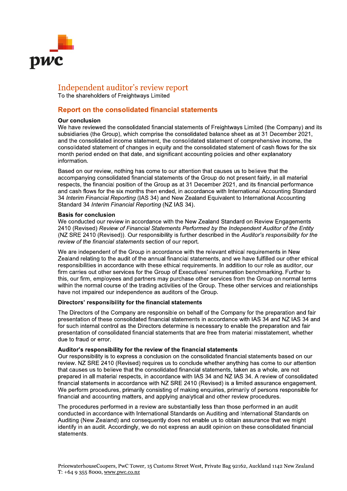

# Independent auditor's review report

To the shareholders of Freightways Limited

# **Report on the consolidated financial statements**

#### **Our conclusion**

We have reviewed the consolidated financial statements of Freightways Limited (the Company) and its subsidiaries (the Group), which comprise the consolidated balance sheet as at 31 December 2021, and the consolidated income statement, the consolidated statement of comprehensive income, the consolidated statement of changes in equity and the consolidated statement of cash flows for the six month period ended on that date, and significant accounting policies and other explanatory information.

Based on our review, nothing has come to our attention that causes us to believe that the accompanying consolidated financial statements of the Group do not present fairly, in all material respects, the financial position of the Group as at 31 December 2021, and its financial performance and cash flows for the six months then ended, in accordance with International Accounting Standard 34 Interim Financial Reporting (IAS 34) and New Zealand Equivalent to International Accounting Standard 34 Interim Financial Reporting (NZ IAS 34).

#### **Basis for conclusion**

We conducted our review in accordance with the New Zealand Standard on Review Engagements 2410 (Revised) Review of Financial Statements Performed by the Independent Auditor of the Entity (NZ SRE 2410 (Revised)). Our responsibility is further described in the Auditor's responsibility for the review of the financial statements section of our report.

We are independent of the Group in accordance with the relevant ethical requirements in New Zealand relating to the audit of the annual financial statements, and we have fulfilled our other ethical responsibilities in accordance with these ethical requirements. In addition to our role as auditor, our firm carries out other services for the Group of Executives' remuneration benchmarking. Further to this, our firm, employees and partners may purchase other services from the Group on normal terms within the normal course of the trading activities of the Group. These other services and relationships have not impaired our independence as auditors of the Group.

### Directors' responsibility for the financial statements

The Directors of the Company are responsible on behalf of the Company for the preparation and fair presentation of these consolidated financial statements in accordance with IAS 34 and NZ IAS 34 and for such internal control as the Directors determine is necessary to enable the preparation and fair presentation of consolidated financial statements that are free from material misstatement, whether due to fraud or error.

### Auditor's responsibility for the review of the financial statements

Our responsibility is to express a conclusion on the consolidated financial statements based on our review. NZ SRE 2410 (Revised) requires us to conclude whether anything has come to our attention that causes us to believe that the consolidated financial statements, taken as a whole, are not prepared in all material respects, in accordance with IAS 34 and NZ IAS 34. A review of consolidated financial statements in accordance with NZ SRE 2410 (Revised) is a limited assurance engagement. We perform procedures, primarily consisting of making enquiries, primarily of persons responsible for financial and accounting matters, and applying analytical and other review procedures.

The procedures performed in a review are substantially less than those performed in an audit conducted in accordance with International Standards on Auditing and International Standards on Auditing (New Zealand) and consequently does not enable us to obtain assurance that we might identify in an audit. Accordingly, we do not express an audit opinion on these consolidated financial statements.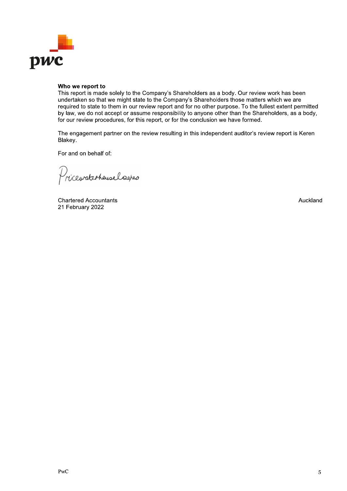

#### Who we report to

This report is made solely to the Company's Shareholders as a body. Our review work has been undertaken so that we might state to the Company's Shareholders those matters which we are required to state to them in our review report and for no other purpose. To the fullest extent permitted by law, we do not accept or assume responsibility to anyone other than the Shareholders, as a body, for our review procedures, for this report, or for the conclusion we have formed.

The engagement partner on the review resulting in this independent auditor's review report is Keren Blakey.

For and on behalf of:

Pricewaterheuselsapes

**Chartered Accountants** 21 February 2022

Auckland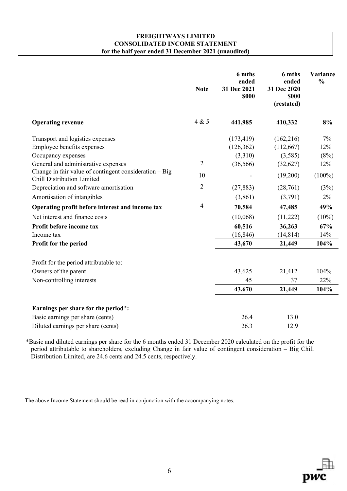# **FREIGHTWAYS LIMITED CONSOLIDATED INCOME STATEMENT for the half year ended 31 December 2021 (unaudited)**

|                                                                                                                               | <b>Note</b>          | 6 mths<br>ended<br>31 Dec 2021<br>\$000 | 6 mths<br>ended<br>31 Dec 2020<br>\$000<br>(restated) | Variance<br>$\frac{0}{0}$ |
|-------------------------------------------------------------------------------------------------------------------------------|----------------------|-----------------------------------------|-------------------------------------------------------|---------------------------|
| <b>Operating revenue</b>                                                                                                      | 4 & 5                | 441,985                                 | 410,332                                               | 8%                        |
| Transport and logistics expenses<br>Employee benefits expenses<br>Occupancy expenses                                          |                      | (173, 419)<br>(126, 362)<br>(3,310)     | (162, 216)<br>(112, 667)<br>(3,585)                   | 7%<br>12%<br>(8%)         |
| General and administrative expenses<br>Change in fair value of contingent consideration $-$ Big<br>Chill Distribution Limited | $\overline{2}$<br>10 | (36, 566)                               | (32,627)<br>(19,200)                                  | 12%<br>$(100\%)$          |
| Depreciation and software amortisation<br>Amortisation of intangibles                                                         | $\overline{2}$       | (27, 883)<br>(3,861)                    | (28,761)<br>(3,791)                                   | (3%)<br>2%                |
| Operating profit before interest and income tax                                                                               | $\overline{4}$       | 70,584                                  | 47,485                                                | 49%                       |
| Net interest and finance costs                                                                                                |                      | (10,068)                                | (11,222)                                              | $(10\%)$                  |
| Profit before income tax                                                                                                      |                      | 60,516                                  | 36,263                                                | 67%                       |
| Income tax                                                                                                                    |                      | (16, 846)                               | (14, 814)                                             | 14%                       |
| Profit for the period                                                                                                         |                      | 43,670                                  | 21,449                                                | 104%                      |
| Profit for the period attributable to:                                                                                        |                      |                                         |                                                       |                           |
| Owners of the parent                                                                                                          |                      | 43,625                                  | 21,412                                                | 104%                      |
| Non-controlling interests                                                                                                     |                      | 45                                      | 37                                                    | 22%                       |
|                                                                                                                               |                      | 43,670                                  | 21,449                                                | 104%                      |
| Earnings per share for the period*:                                                                                           |                      |                                         |                                                       |                           |
| Basic earnings per share (cents)                                                                                              |                      | 26.4                                    | 13.0                                                  |                           |
| Diluted earnings per share (cents)                                                                                            |                      | 26.3                                    | 12.9                                                  |                           |

\*Basic and diluted earnings per share for the 6 months ended 31 December 2020 calculated on the profit for the period attributable to shareholders, excluding Change in fair value of contingent consideration – Big Chill Distribution Limited, are 24.6 cents and 24.5 cents, respectively.

The above Income Statement should be read in conjunction with the accompanying notes.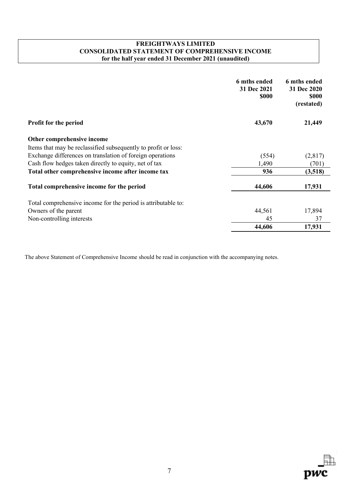# **FREIGHTWAYS LIMITED CONSOLIDATED STATEMENT OF COMPREHENSIVE INCOME for the half year ended 31 December 2021 (unaudited)**

|                                                                | 6 mths ended<br>31 Dec 2021<br><b>\$000</b> | 6 mths ended<br>31 Dec 2020<br><b>\$000</b><br>(restated) |
|----------------------------------------------------------------|---------------------------------------------|-----------------------------------------------------------|
| <b>Profit for the period</b>                                   | 43,670                                      | 21,449                                                    |
| Other comprehensive income                                     |                                             |                                                           |
| Items that may be reclassified subsequently to profit or loss: |                                             |                                                           |
| Exchange differences on translation of foreign operations      | (554)                                       | (2,817)                                                   |
| Cash flow hedges taken directly to equity, net of tax          | 1,490                                       | (701)                                                     |
| Total other comprehensive income after income tax              | 936                                         | (3,518)                                                   |
| Total comprehensive income for the period                      | 44,606                                      | 17,931                                                    |
| Total comprehensive income for the period is attributable to:  |                                             |                                                           |
| Owners of the parent                                           | 44,561                                      | 17,894                                                    |
| Non-controlling interests                                      | 45                                          | 37                                                        |
|                                                                | 44,606                                      | 17,931                                                    |

The above Statement of Comprehensive Income should be read in conjunction with the accompanying notes.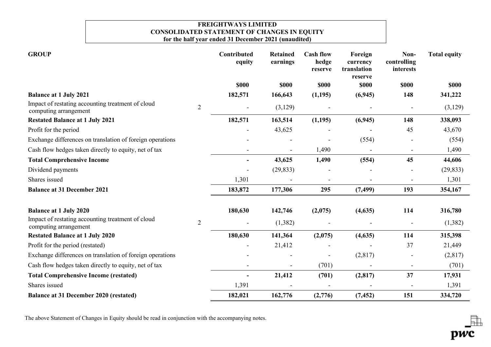# **FREIGHTWAYS LIMITED CONSOLIDATED STATEMENT OF CHANGES IN EQUITY for the half year ended 31 December 2021 (unaudited)**

| <b>GROUP</b>                                                               |                | Contributed<br>equity | <b>Retained</b><br>earnings | <b>Cash flow</b><br>hedge<br>reserve | Foreign<br>currency<br>translation<br>reserve | Non-<br>controlling<br>interests | <b>Total equity</b> |
|----------------------------------------------------------------------------|----------------|-----------------------|-----------------------------|--------------------------------------|-----------------------------------------------|----------------------------------|---------------------|
|                                                                            |                | <b>\$000</b>          | <b>SOOO</b>                 | \$000                                | <b>\$000</b>                                  | <b>\$000</b>                     | <b>\$000</b>        |
| <b>Balance at 1 July 2021</b>                                              |                | 182,571               | 166,643                     | (1,195)                              | (6, 945)                                      | 148                              | 341,222             |
| Impact of restating accounting treatment of cloud<br>computing arrangement | $\overline{2}$ |                       | (3,129)                     |                                      |                                               |                                  | (3,129)             |
| <b>Restated Balance at 1 July 2021</b>                                     |                | 182,571               | 163,514                     | (1,195)                              | (6,945)                                       | 148                              | 338,093             |
| Profit for the period                                                      |                |                       | 43,625                      |                                      |                                               | 45                               | 43,670              |
| Exchange differences on translation of foreign operations                  |                |                       |                             |                                      | (554)                                         |                                  | (554)               |
| Cash flow hedges taken directly to equity, net of tax                      |                |                       | $\overline{a}$              | 1,490                                |                                               |                                  | 1,490               |
| <b>Total Comprehensive Income</b>                                          |                |                       | 43,625                      | 1,490                                | (554)                                         | 45                               | 44,606              |
| Dividend payments                                                          |                |                       | (29, 833)                   |                                      |                                               |                                  | (29, 833)           |
| Shares issued                                                              |                | 1,301                 |                             |                                      |                                               |                                  | 1,301               |
| <b>Balance at 31 December 2021</b>                                         |                | 183,872               | 177,306                     | 295                                  | (7, 499)                                      | 193                              | 354,167             |
| <b>Balance at 1 July 2020</b>                                              |                | 180,630               | 142,746                     | (2,075)                              | (4,635)                                       | 114                              | 316,780             |
| Impact of restating accounting treatment of cloud<br>computing arrangement | $\overline{2}$ | $\blacksquare$        | (1,382)                     |                                      |                                               |                                  | (1,382)             |
| <b>Restated Balance at 1 July 2020</b>                                     |                | 180,630               | 141,364                     | (2,075)                              | (4, 635)                                      | 114                              | 315,398             |
| Profit for the period (restated)                                           |                |                       | 21,412                      |                                      |                                               | 37                               | 21,449              |
| Exchange differences on translation of foreign operations                  |                |                       |                             |                                      | (2,817)                                       |                                  | (2,817)             |
| Cash flow hedges taken directly to equity, net of tax                      |                | $\blacksquare$        |                             | (701)                                |                                               | $\blacksquare$                   | (701)               |
| <b>Total Comprehensive Income (restated)</b>                               |                | $\blacksquare$        | 21,412                      | (701)                                | (2,817)                                       | 37                               | 17,931              |
| Shares issued                                                              |                | 1,391                 |                             |                                      |                                               |                                  | 1,391               |
| <b>Balance at 31 December 2020 (restated)</b>                              |                | 182,021               | 162,776                     | (2,776)                              | (7, 452)                                      | 151                              | 334,720             |

The above Statement of Changes in Equity should be read in conjunction with the accompanying notes.

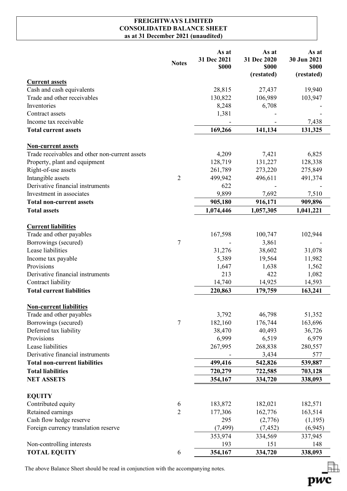# **FREIGHTWAYS LIMITED CONSOLIDATED BALANCE SHEET as at 31 December 2021 (unaudited)**

|                                                | <b>Notes</b>   | As at<br>31 Dec 2021<br>\$000 | As at<br>31 Dec 2020<br>\$000<br>(restated) | As at<br>30 Jun 2021<br><b>\$000</b><br>(restated) |
|------------------------------------------------|----------------|-------------------------------|---------------------------------------------|----------------------------------------------------|
| <b>Current assets</b>                          |                |                               |                                             |                                                    |
| Cash and cash equivalents                      |                | 28,815                        | 27,437                                      | 19,940                                             |
| Trade and other receivables                    |                | 130,822                       | 106,989                                     | 103,947                                            |
| Inventories                                    |                | 8,248                         | 6,708                                       |                                                    |
| Contract assets                                |                | 1,381                         |                                             |                                                    |
| Income tax receivable                          |                |                               |                                             | 7,438                                              |
| <b>Total current assets</b>                    |                | 169,266                       | 141,134                                     | 131,325                                            |
| <b>Non-current assets</b>                      |                |                               |                                             |                                                    |
| Trade receivables and other non-current assets |                | 4,209                         | 7,421                                       | 6,825                                              |
| Property, plant and equipment                  |                | 128,719                       | 131,227                                     | 128,338                                            |
| Right-of-use assets                            |                | 261,789                       | 273,220                                     | 275,849                                            |
| Intangible assets                              | $\overline{2}$ | 499,942                       | 496,611                                     | 491,374                                            |
| Derivative financial instruments               |                | 622                           |                                             |                                                    |
| Investment in associates                       |                | 9,899                         | 7,692                                       | 7,510                                              |
| <b>Total non-current assets</b>                |                | 905,180                       | 916,171                                     | 909,896                                            |
| <b>Total assets</b>                            |                | 1,074,446                     | 1,057,305                                   | 1,041,221                                          |
|                                                |                |                               |                                             |                                                    |
| <b>Current liabilities</b>                     |                |                               |                                             |                                                    |
| Trade and other payables                       |                | 167,598                       | 100,747                                     | 102,944                                            |
| Borrowings (secured)                           | $\overline{7}$ |                               | 3,861                                       |                                                    |
| Lease liabilities                              |                | 31,276                        | 38,602                                      | 31,078                                             |
| Income tax payable                             |                | 5,389                         | 19,564                                      | 11,982                                             |
| Provisions                                     |                | 1,647                         | 1,638                                       | 1,562                                              |
| Derivative financial instruments               |                | 213                           | 422                                         | 1,082                                              |
| Contract liability                             |                | 14,740                        | 14,925                                      | 14,593                                             |
| <b>Total current liabilities</b>               |                | 220,863                       | 179,759                                     | 163,241                                            |
| <b>Non-current liabilities</b>                 |                |                               |                                             |                                                    |
| Trade and other payables                       |                | 3,792                         | 46,798                                      | 51,352                                             |
| Borrowings (secured)                           | $\tau$         | 182,160                       | 176,744                                     | 163,696                                            |
| Deferred tax liability                         |                | 38,470                        | 40,493                                      | 36,726                                             |
| Provisions                                     |                | 6,999                         | 6,519                                       | 6,979                                              |
| Lease liabilities                              |                | 267,995                       | 268,838                                     | 280,557                                            |
| Derivative financial instruments               |                |                               | 3,434                                       | 577                                                |
| <b>Total non-current liabilities</b>           |                | 499,416                       | 542,826                                     | 539,887                                            |
| <b>Total liabilities</b>                       |                | 720,279                       | 722,585                                     | 703,128                                            |
| <b>NET ASSETS</b>                              |                | 354,167                       | 334,720                                     | 338,093                                            |
| <b>EQUITY</b>                                  |                |                               |                                             |                                                    |
| Contributed equity                             | 6              | 183,872                       | 182,021                                     | 182,571                                            |
| Retained earnings                              | $\overline{2}$ | 177,306                       | 162,776                                     | 163,514                                            |
| Cash flow hedge reserve                        |                | 295                           | (2,776)                                     | (1,195)                                            |
| Foreign currency translation reserve           |                | (7, 499)                      | (7, 452)                                    | (6,945)                                            |
|                                                |                | 353,974                       | 334,569                                     | 337,945                                            |
| Non-controlling interests                      |                | 193                           | 151                                         | 148                                                |
| <b>TOTAL EQUITY</b>                            | 6              | 354,167                       | 334,720                                     | 338,093                                            |
|                                                |                |                               |                                             |                                                    |

pwc

The above Balance Sheet should be read in conjunction with the accompanying notes.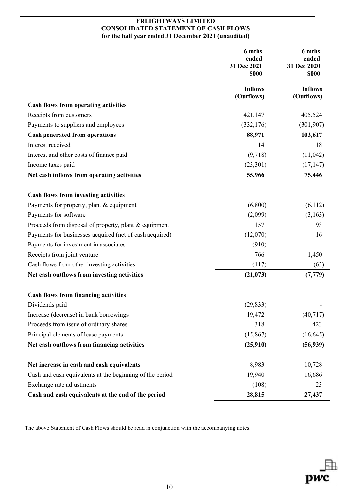# **FREIGHTWAYS LIMITED CONSOLIDATED STATEMENT OF CASH FLOWS for the half year ended 31 December 2021 (unaudited)**

|                                                          | 6 mths<br>ended<br>31 Dec 2021<br>\$000 | 6 mths<br>ended<br>31 Dec 2020<br>\$000 |
|----------------------------------------------------------|-----------------------------------------|-----------------------------------------|
|                                                          | <b>Inflows</b><br>(Outflows)            | <b>Inflows</b><br>(Outflows)            |
| <b>Cash flows from operating activities</b>              |                                         |                                         |
| Receipts from customers                                  | 421,147                                 | 405,524                                 |
| Payments to suppliers and employees                      | (332, 176)                              | (301, 907)                              |
| <b>Cash generated from operations</b>                    | 88,971                                  | 103,617                                 |
| Interest received                                        | 14                                      | 18                                      |
| Interest and other costs of finance paid                 | (9,718)                                 | (11,042)                                |
| Income taxes paid                                        | (23,301)                                | (17, 147)                               |
| Net cash inflows from operating activities               | 55,966                                  | 75,446                                  |
| <b>Cash flows from investing activities</b>              |                                         |                                         |
| Payments for property, plant & equipment                 | (6,800)                                 | (6,112)                                 |
| Payments for software                                    | (2,099)                                 | (3,163)                                 |
| Proceeds from disposal of property, plant & equipment    | 157                                     | 93                                      |
| Payments for businesses acquired (net of cash acquired)  | (12,070)                                | 16                                      |
| Payments for investment in associates                    | (910)                                   |                                         |
| Receipts from joint venture                              | 766                                     | 1,450                                   |
| Cash flows from other investing activities               | (117)                                   | (63)                                    |
| Net cash outflows from investing activities              | (21, 073)                               | (7, 779)                                |
| <b>Cash flows from financing activities</b>              |                                         |                                         |
| Dividends paid                                           | (29, 833)                               |                                         |
| Increase (decrease) in bank borrowings                   | 19,472                                  | (40, 717)                               |
| Proceeds from issue of ordinary shares                   | 318                                     | 423                                     |
| Principal elements of lease payments                     | (15, 867)                               | (16, 645)                               |
| Net cash outflows from financing activities              | (25,910)                                | (56, 939)                               |
| Net increase in cash and cash equivalents                | 8,983                                   | 10,728                                  |
| Cash and cash equivalents at the beginning of the period | 19,940                                  | 16,686                                  |
| Exchange rate adjustments                                | (108)                                   | 23                                      |
| Cash and cash equivalents at the end of the period       | 28,815                                  | 27,437                                  |
|                                                          |                                         |                                         |

The above Statement of Cash Flows should be read in conjunction with the accompanying notes.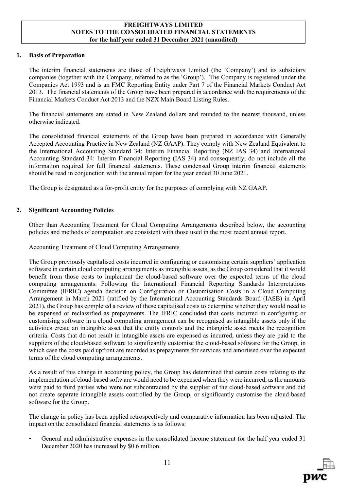## **1. Basis of Preparation**

The interim financial statements are those of Freightways Limited (the 'Company') and its subsidiary companies (together with the Company, referred to as the 'Group'). The Company is registered under the Companies Act 1993 and is an FMC Reporting Entity under Part 7 of the Financial Markets Conduct Act 2013. The financial statements of the Group have been prepared in accordance with the requirements of the Financial Markets Conduct Act 2013 and the NZX Main Board Listing Rules.

The financial statements are stated in New Zealand dollars and rounded to the nearest thousand, unless otherwise indicated.

The consolidated financial statements of the Group have been prepared in accordance with Generally Accepted Accounting Practice in New Zealand (NZ GAAP). They comply with New Zealand Equivalent to the International Accounting Standard 34: Interim Financial Reporting (NZ IAS 34) and International Accounting Standard 34: Interim Financial Reporting (IAS 34) and consequently, do not include all the information required for full financial statements. These condensed Group interim financial statements should be read in conjunction with the annual report for the year ended 30 June 2021.

The Group is designated as a for-profit entity for the purposes of complying with NZ GAAP.

# **2. Significant Accounting Policies**

Other than Accounting Treatment for Cloud Computing Arrangements described below, the accounting policies and methods of computation are consistent with those used in the most recent annual report.

### Accounting Treatment of Cloud Computing Arrangements

The Group previously capitalised costs incurred in configuring or customising certain suppliers' application software in certain cloud computing arrangements as intangible assets, as the Group considered that it would benefit from those costs to implement the cloud-based software over the expected terms of the cloud computing arrangements. Following the International Financial Reporting Standards Interpretations Committee (IFRIC) agenda decision on Configuration or Customisation Costs in a Cloud Computing Arrangement in March 2021 (ratified by the International Accounting Standards Board (IASB) in April 2021), the Group has completed a review of these capitalised costs to determine whether they would need to be expensed or reclassified as prepayments. The IFRIC concluded that costs incurred in configuring or customising software in a cloud computing arrangement can be recognised as intangible assets only if the activities create an intangible asset that the entity controls and the intangible asset meets the recognition criteria. Costs that do not result in intangible assets are expensed as incurred, unless they are paid to the suppliers of the cloud-based software to significantly customise the cloud-based software for the Group, in which case the costs paid upfront are recorded as prepayments for services and amortised over the expected terms of the cloud computing arrangements.

As a result of this change in accounting policy, the Group has determined that certain costs relating to the implementation of cloud-based software would need to be expensed when they were incurred, as the amounts were paid to third parties who were not subcontracted by the supplier of the cloud-based software and did not create separate intangible assets controlled by the Group, or significantly customise the cloud-based software for the Group.

The change in policy has been applied retrospectively and comparative information has been adjusted. The impact on the consolidated financial statements is as follows:

• General and administrative expenses in the consolidated income statement for the half year ended 31 December 2020 has increased by \$0.6 million.

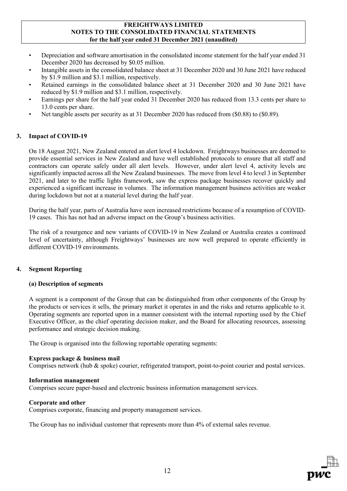- Depreciation and software amortisation in the consolidated income statement for the half year ended 31 December 2020 has decreased by \$0.05 million.
- Intangible assets in the consolidated balance sheet at 31 December 2020 and 30 June 2021 have reduced by \$1.9 million and \$3.1 million, respectively.
- Retained earnings in the consolidated balance sheet at 31 December 2020 and 30 June 2021 have reduced by \$1.9 million and \$3.1 million, respectively.
- Earnings per share for the half year ended 31 December 2020 has reduced from 13.3 cents per share to 13.0 cents per share.
- Net tangible assets per security as at 31 December 2020 has reduced from (\$0.88) to (\$0.89).

# **3. Impact of COVID-19**

On 18 August 2021, New Zealand entered an alert level 4 lockdown. Freightways businesses are deemed to provide essential services in New Zealand and have well established protocols to ensure that all staff and contractors can operate safely under all alert levels. However, under alert level 4, activity levels are significantly impacted across all the New Zealand businesses. The move from level 4 to level 3 in September 2021, and later to the traffic lights framework, saw the express package businesses recover quickly and experienced a significant increase in volumes. The information management business activities are weaker during lockdown but not at a material level during the half year.

During the half year, parts of Australia have seen increased restrictions because of a resumption of COVID-19 cases. This has not had an adverse impact on the Group's business activities.

The risk of a resurgence and new variants of COVID-19 in New Zealand or Australia creates a continued level of uncertainty, although Freightways' businesses are now well prepared to operate efficiently in different COVID-19 environments.

# **4. Segment Reporting**

# **(a) Description of segments**

A segment is a component of the Group that can be distinguished from other components of the Group by the products or services it sells, the primary market it operates in and the risks and returns applicable to it. Operating segments are reported upon in a manner consistent with the internal reporting used by the Chief Executive Officer, as the chief operating decision maker, and the Board for allocating resources, assessing performance and strategic decision making.

The Group is organised into the following reportable operating segments:

### **Express package & business mail**

Comprises network (hub & spoke) courier, refrigerated transport, point-to-point courier and postal services.

### **Information management**

Comprises secure paper-based and electronic business information management services.

### **Corporate and other**

Comprises corporate, financing and property management services.

The Group has no individual customer that represents more than 4% of external sales revenue.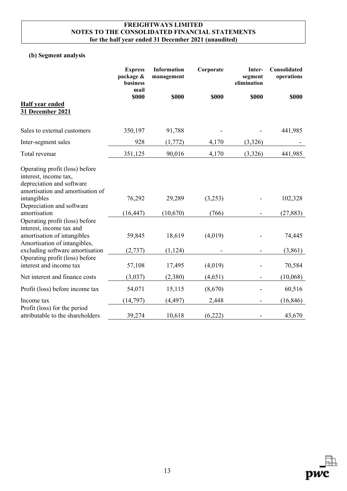# **(b) Segment analysis**

|                                                                                                                                                                                                | <b>Express</b><br>package &<br>business<br>mail | Information<br>management | Corporate   | Inter-<br>segment<br>elimination | Consolidated<br>operations |
|------------------------------------------------------------------------------------------------------------------------------------------------------------------------------------------------|-------------------------------------------------|---------------------------|-------------|----------------------------------|----------------------------|
| <b>Half year ended</b><br>31 December 2021                                                                                                                                                     | \$000                                           | <b>\$000</b>              | <b>S000</b> | \$000                            | <b>\$000</b>               |
| Sales to external customers                                                                                                                                                                    | 350,197                                         | 91,788                    |             |                                  | 441,985                    |
| Inter-segment sales                                                                                                                                                                            | 928                                             | (1, 772)                  | 4,170       | (3,326)                          |                            |
| Total revenue                                                                                                                                                                                  | 351,125                                         | 90,016                    | 4,170       | (3,326)                          | 441,985                    |
| Operating profit (loss) before<br>interest, income tax,<br>depreciation and software<br>amortisation and amortisation of<br>intangibles                                                        | 76,292                                          | 29,289                    | (3,253)     |                                  | 102,328                    |
| Depreciation and software<br>amortisation                                                                                                                                                      | (16, 447)                                       | (10,670)                  | (766)       |                                  | (27, 883)                  |
| Operating profit (loss) before<br>interest, income tax and<br>amortisation of intangibles<br>Amortisation of intangibles,<br>excluding software amortisation<br>Operating profit (loss) before | 59,845<br>(2, 737)                              | 18,619<br>(1, 124)        | (4,019)     |                                  | 74,445<br>(3,861)          |
| interest and income tax                                                                                                                                                                        | 57,108                                          | 17,495                    | (4,019)     |                                  | 70,584                     |
| Net interest and finance costs                                                                                                                                                                 | (3,037)                                         | (2,380)                   | (4,651)     |                                  | (10,068)                   |
| Profit (loss) before income tax                                                                                                                                                                | 54,071                                          | 15,115                    | (8,670)     |                                  | 60,516                     |
| Income tax                                                                                                                                                                                     | (14, 797)                                       | (4, 497)                  | 2,448       |                                  | (16, 846)                  |
| Profit (loss) for the period<br>attributable to the shareholders                                                                                                                               | 39,274                                          | 10,618                    | (6,222)     |                                  | 43,670                     |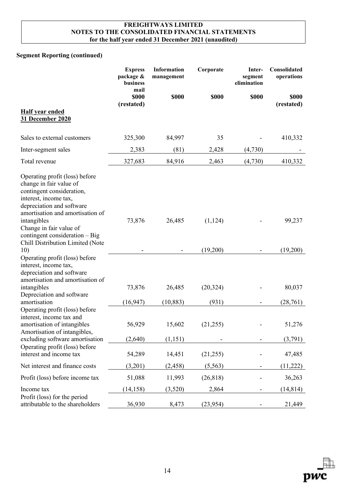# **Segment Reporting (continued)**

|                                                                                                                                                                                                                                                              | <b>Express</b><br>package &<br>business<br>mail | Information<br>management | Corporate | Inter-<br>segment<br>elimination | Consolidated<br>operations |
|--------------------------------------------------------------------------------------------------------------------------------------------------------------------------------------------------------------------------------------------------------------|-------------------------------------------------|---------------------------|-----------|----------------------------------|----------------------------|
|                                                                                                                                                                                                                                                              | \$000<br>(restated)                             | <b>\$000</b>              | \$000     | \$000                            | <b>\$000</b><br>(restated) |
| <b>Half year ended</b><br>31 December 2020                                                                                                                                                                                                                   |                                                 |                           |           |                                  |                            |
| Sales to external customers                                                                                                                                                                                                                                  | 325,300                                         | 84,997                    | 35        |                                  | 410,332                    |
| Inter-segment sales                                                                                                                                                                                                                                          | 2,383                                           | (81)                      | 2,428     | (4,730)                          |                            |
| Total revenue                                                                                                                                                                                                                                                | 327,683                                         | 84,916                    | 2,463     | (4,730)                          | 410,332                    |
| Operating profit (loss) before<br>change in fair value of<br>contingent consideration,<br>interest, income tax,<br>depreciation and software<br>amortisation and amortisation of<br>intangibles<br>Change in fair value of<br>contingent consideration - Big | 73,876                                          | 26,485                    | (1, 124)  |                                  | 99,237                     |
| Chill Distribution Limited (Note<br>10)                                                                                                                                                                                                                      |                                                 |                           | (19,200)  |                                  | (19,200)                   |
| Operating profit (loss) before<br>interest, income tax,<br>depreciation and software<br>amortisation and amortisation of<br>intangibles<br>Depreciation and software                                                                                         | 73,876                                          | 26,485                    | (20, 324) |                                  | 80,037                     |
| amortisation                                                                                                                                                                                                                                                 | (16, 947)                                       | (10, 883)                 | (931)     |                                  | (28,761)                   |
| Operating profit (loss) before<br>interest, income tax and<br>amortisation of intangibles<br>Amortisation of intangibles,<br>excluding software amortisation                                                                                                 | 56,929<br>(2,640)                               | 15,602<br>(1,151)         | (21,255)  |                                  | 51,276<br>(3,791)          |
| Operating profit (loss) before<br>interest and income tax                                                                                                                                                                                                    | 54,289                                          | 14,451                    | (21,255)  |                                  | 47,485                     |
| Net interest and finance costs                                                                                                                                                                                                                               | (3,201)                                         | (2, 458)                  | (5, 563)  |                                  | (11,222)                   |
| Profit (loss) before income tax                                                                                                                                                                                                                              | 51,088                                          | 11,993                    | (26, 818) |                                  | 36,263                     |
| Income tax                                                                                                                                                                                                                                                   | (14, 158)                                       | (3,520)                   | 2,864     |                                  | (14, 814)                  |
| Profit (loss) for the period<br>attributable to the shareholders                                                                                                                                                                                             | 36,930                                          | 8,473                     | (23, 954) |                                  | 21,449                     |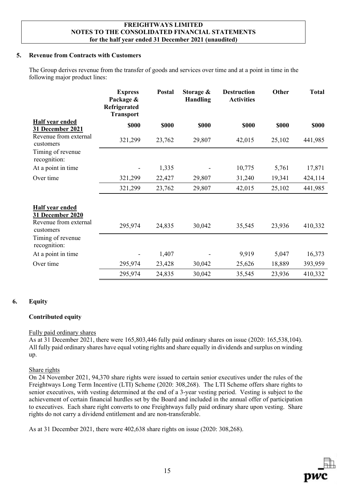# **5. Revenue from Contracts with Customers**

The Group derives revenue from the transfer of goods and services over time and at a point in time in the following major product lines:

|                                                                           | <b>Express</b><br>Package &<br>Refrigerated<br><b>Transport</b> | Postal       | Storage &<br><b>Handling</b> | <b>Destruction</b><br><b>Activities</b> | Other        | <b>Total</b> |
|---------------------------------------------------------------------------|-----------------------------------------------------------------|--------------|------------------------------|-----------------------------------------|--------------|--------------|
| <b>Half year ended</b><br>31 December 2021                                | \$000                                                           | <b>\$000</b> | <b>\$000</b>                 | \$000                                   | <b>\$000</b> | \$000        |
| Revenue from external<br>customers                                        | 321,299                                                         | 23,762       | 29,807                       | 42,015                                  | 25,102       | 441,985      |
| Timing of revenue<br>recognition:                                         |                                                                 |              |                              |                                         |              |              |
| At a point in time                                                        |                                                                 | 1,335        |                              | 10,775                                  | 5,761        | 17,871       |
| Over time                                                                 | 321,299                                                         | 22,427       | 29,807                       | 31,240                                  | 19,341       | 424,114      |
|                                                                           | 321,299                                                         | 23,762       | 29,807                       | 42,015                                  | 25,102       | 441,985      |
| Half year ended<br>31 December 2020<br>Revenue from external<br>customers | 295,974                                                         | 24,835       | 30,042                       | 35,545                                  | 23,936       | 410,332      |
| Timing of revenue<br>recognition:                                         |                                                                 |              |                              |                                         |              |              |
| At a point in time                                                        |                                                                 | 1,407        |                              | 9,919                                   | 5,047        | 16,373       |
| Over time                                                                 | 295,974                                                         | 23,428       | 30,042                       | 25,626                                  | 18,889       | 393,959      |
|                                                                           | 295,974                                                         | 24,835       | 30,042                       | 35,545                                  | 23,936       | 410,332      |

# **6. Equity**

### **Contributed equity**

### Fully paid ordinary shares

As at 31 December 2021, there were 165,803,446 fully paid ordinary shares on issue (2020: 165,538,104). All fully paid ordinary shares have equal voting rights and share equally in dividends and surplus on winding up.

### Share rights

On 24 November 2021, 94,370 share rights were issued to certain senior executives under the rules of the Freightways Long Term Incentive (LTI) Scheme (2020: 308,268). The LTI Scheme offers share rights to senior executives, with vesting determined at the end of a 3-year vesting period. Vesting is subject to the achievement of certain financial hurdles set by the Board and included in the annual offer of participation to executives. Each share right converts to one Freightways fully paid ordinary share upon vesting. Share rights do not carry a dividend entitlement and are non-transferable.

As at 31 December 2021, there were 402,638 share rights on issue (2020: 308,268).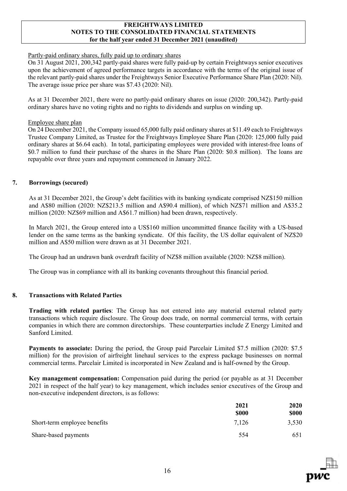### Partly-paid ordinary shares, fully paid up to ordinary shares

On 31 August 2021, 200,342 partly-paid shares were fully paid-up by certain Freightways senior executives upon the achievement of agreed performance targets in accordance with the terms of the original issue of the relevant partly-paid shares under the Freightways Senior Executive Performance Share Plan (2020: Nil). The average issue price per share was \$7.43 (2020: Nil).

As at 31 December 2021, there were no partly-paid ordinary shares on issue (2020: 200,342). Partly-paid ordinary shares have no voting rights and no rights to dividends and surplus on winding up.

### Employee share plan

On 24 December 2021, the Company issued 65,000 fully paid ordinary shares at \$11.49 each to Freightways Trustee Company Limited, as Trustee for the Freightways Employee Share Plan (2020: 125,000 fully paid ordinary shares at \$6.64 each). In total, participating employees were provided with interest-free loans of \$0.7 million to fund their purchase of the shares in the Share Plan (2020: \$0.8 million). The loans are repayable over three years and repayment commenced in January 2022.

## **7. Borrowings (secured)**

As at 31 December 2021, the Group's debt facilities with its banking syndicate comprised NZ\$150 million and A\$80 million (2020: NZ\$213.5 million and A\$90.4 million), of which NZ\$71 million and A\$35.2 million (2020: NZ\$69 million and A\$61.7 million) had been drawn, respectively.

In March 2021, the Group entered into a US\$160 million uncommitted finance facility with a US-based lender on the same terms as the banking syndicate. Of this facility, the US dollar equivalent of NZ\$20 million and A\$50 million were drawn as at 31 December 2021.

The Group had an undrawn bank overdraft facility of NZ\$8 million available (2020: NZ\$8 million).

The Group was in compliance with all its banking covenants throughout this financial period.

# **8. Transactions with Related Parties**

**Trading with related parties**: The Group has not entered into any material external related party transactions which require disclosure. The Group does trade, on normal commercial terms, with certain companies in which there are common directorships. These counterparties include Z Energy Limited and Sanford Limited.

**Payments to associate:** During the period, the Group paid Parcelair Limited \$7.5 million (2020: \$7.5 million) for the provision of airfreight linehaul services to the express package businesses on normal commercial terms. Parcelair Limited is incorporated in New Zealand and is half-owned by the Group.

**Key management compensation:** Compensation paid during the period (or payable as at 31 December 2021 in respect of the half year) to key management, which includes senior executives of the Group and non-executive independent directors, is as follows:

|                              | 2021         | <b>2020</b> |
|------------------------------|--------------|-------------|
|                              | <b>\$000</b> | <b>SOOO</b> |
| Short-term employee benefits | 7,126        | 3,530       |
| Share-based payments         | 554          | 651         |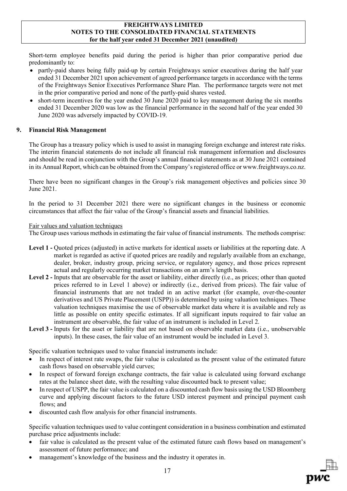Short-term employee benefits paid during the period is higher than prior comparative period due predominantly to:

- partly-paid shares being fully paid-up by certain Freightways senior executives during the half year ended 31 December 2021 upon achievement of agreed performance targets in accordance with the terms of the Freightways Senior Executives Performance Share Plan. The performance targets were not met in the prior comparative period and none of the partly-paid shares vested.
- short-term incentives for the year ended 30 June 2020 paid to key management during the six months ended 31 December 2020 was low as the financial performance in the second half of the year ended 30 June 2020 was adversely impacted by COVID-19.

# **9. Financial Risk Management**

The Group has a treasury policy which is used to assist in managing foreign exchange and interest rate risks. The interim financial statements do not include all financial risk management information and disclosures and should be read in conjunction with the Group's annual financial statements as at 30 June 2021 contained in its Annual Report, which can be obtained from the Company's registered office or www.freightways.co.nz.

There have been no significant changes in the Group's risk management objectives and policies since 30 June 2021.

In the period to 31 December 2021 there were no significant changes in the business or economic circumstances that affect the fair value of the Group's financial assets and financial liabilities.

# Fair values and valuation techniques

The Group uses various methods in estimating the fair value of financial instruments. The methods comprise:

- **Level 1 -** Quoted prices (adjusted) in active markets for identical assets or liabilities at the reporting date. A market is regarded as active if quoted prices are readily and regularly available from an exchange, dealer, broker, industry group, pricing service, or regulatory agency, and those prices represent actual and regularly occurring market transactions on an arm's length basis.
- **Level 2 -** Inputs that are observable for the asset or liability, either directly (i.e., as prices; other than quoted prices referred to in Level 1 above) or indirectly (i.e., derived from prices). The fair value of financial instruments that are not traded in an active market (for example, over-the-counter derivatives and US Private Placement (USPP)) is determined by using valuation techniques. These valuation techniques maximise the use of observable market data where it is available and rely as little as possible on entity specific estimates. If all significant inputs required to fair value an instrument are observable, the fair value of an instrument is included in Level 2.
- **Level 3 -** Inputs for the asset or liability that are not based on observable market data (i.e., unobservable inputs). In these cases, the fair value of an instrument would be included in Level 3.

Specific valuation techniques used to value financial instruments include:

- In respect of interest rate swaps, the fair value is calculated as the present value of the estimated future cash flows based on observable yield curves;
- In respect of forward foreign exchange contracts, the fair value is calculated using forward exchange rates at the balance sheet date, with the resulting value discounted back to present value;
- In respect of USPP, the fair value is calculated on a discounted cash flow basis using the USD Bloomberg curve and applying discount factors to the future USD interest payment and principal payment cash flows; and
- discounted cash flow analysis for other financial instruments.

Specific valuation techniques used to value contingent consideration in a business combination and estimated purchase price adjustments include:

- fair value is calculated as the present value of the estimated future cash flows based on management's assessment of future performance; and
- management's knowledge of the business and the industry it operates in.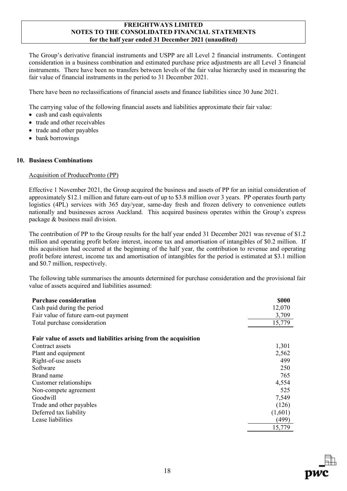The Group's derivative financial instruments and USPP are all Level 2 financial instruments. Contingent consideration in a business combination and estimated purchase price adjustments are all Level 3 financial instruments. There have been no transfers between levels of the fair value hierarchy used in measuring the fair value of financial instruments in the period to 31 December 2021.

There have been no reclassifications of financial assets and finance liabilities since 30 June 2021.

The carrying value of the following financial assets and liabilities approximate their fair value:

- cash and cash equivalents
- trade and other receivables
- trade and other payables
- bank borrowings

### **10. Business Combinations**

## Acquisition of ProducePronto (PP)

Effective 1 November 2021, the Group acquired the business and assets of PP for an initial consideration of approximately \$12.1 million and future earn-out of up to \$3.8 million over 3 years. PP operates fourth party logistics (4PL) services with 365 day/year, same-day fresh and frozen delivery to convenience outlets nationally and businesses across Auckland. This acquired business operates within the Group's express package & business mail division.

The contribution of PP to the Group results for the half year ended 31 December 2021 was revenue of \$1.2 million and operating profit before interest, income tax and amortisation of intangibles of \$0.2 million. If this acquisition had occurred at the beginning of the half year, the contribution to revenue and operating profit before interest, income tax and amortisation of intangibles for the period is estimated at \$3.1 million and \$0.7 million, respectively.

The following table summarises the amounts determined for purchase consideration and the provisional fair value of assets acquired and liabilities assumed:

| <b>Purchase consideration</b>                                     | <b>\$000</b> |
|-------------------------------------------------------------------|--------------|
| Cash paid during the period                                       | 12,070       |
| Fair value of future earn-out payment                             | 3,709        |
| Total purchase consideration                                      | 15,779       |
| Fair value of assets and liabilities arising from the acquisition |              |
| Contract assets                                                   | 1,301        |
| Plant and equipment                                               | 2,562        |
| Right-of-use assets                                               | 499          |
| Software                                                          | 250          |
| Brand name                                                        | 765          |
| Customer relationships                                            | 4,554        |
| Non-compete agreement                                             | 525          |
| Goodwill                                                          | 7,549        |
| Trade and other payables                                          | (126)        |
| Deferred tax liability                                            | (1,601)      |
| Lease liabilities                                                 | (499)        |
|                                                                   | 15,779       |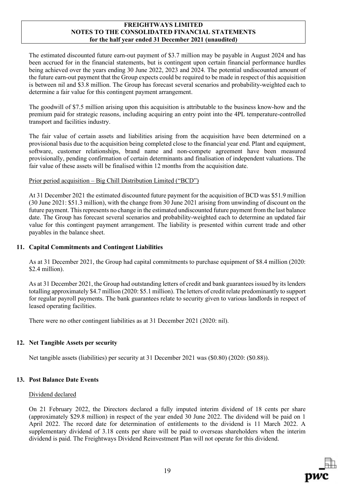The estimated discounted future earn-out payment of \$3.7 million may be payable in August 2024 and has been accrued for in the financial statements, but is contingent upon certain financial performance hurdles being achieved over the years ending 30 June 2022, 2023 and 2024. The potential undiscounted amount of the future earn-out payment that the Group expects could be required to be made in respect of this acquisition is between nil and \$3.8 million. The Group has forecast several scenarios and probability-weighted each to determine a fair value for this contingent payment arrangement.

The goodwill of \$7.5 million arising upon this acquisition is attributable to the business know-how and the premium paid for strategic reasons, including acquiring an entry point into the 4PL temperature-controlled transport and facilities industry.

The fair value of certain assets and liabilities arising from the acquisition have been determined on a provisional basis due to the acquisition being completed close to the financial year end. Plant and equipment, software, customer relationships, brand name and non-compete agreement have been measured provisionally, pending confirmation of certain determinants and finalisation of independent valuations. The fair value of these assets will be finalised within 12 months from the acquisition date.

## Prior period acquisition – Big Chill Distribution Limited ("BCD")

At 31 December 2021 the estimated discounted future payment for the acquisition of BCD was \$51.9 million (30 June 2021: \$51.3 million), with the change from 30 June 2021 arising from unwinding of discount on the future payment. This represents no change in the estimated undiscounted future payment from the last balance date. The Group has forecast several scenarios and probability-weighted each to determine an updated fair value for this contingent payment arrangement. The liability is presented within current trade and other payables in the balance sheet.

### **11. Capital Commitments and Contingent Liabilities**

As at 31 December 2021, the Group had capital commitments to purchase equipment of \$8.4 million (2020: \$2.4 million).

As at 31 December 2021, the Group had outstanding letters of credit and bank guarantees issued by its lenders totalling approximately \$4.7 million (2020: \$5.1 million). The letters of credit relate predominantly to support for regular payroll payments. The bank guarantees relate to security given to various landlords in respect of leased operating facilities.

There were no other contingent liabilities as at 31 December 2021 (2020: nil).

# **12. Net Tangible Assets per security**

Net tangible assets (liabilities) per security at 31 December 2021 was (\$0.80) (2020: (\$0.88)).

### **13. Post Balance Date Events**

### Dividend declared

On 21 February 2022, the Directors declared a fully imputed interim dividend of 18 cents per share (approximately \$29.8 million) in respect of the year ended 30 June 2022. The dividend will be paid on 1 April 2022. The record date for determination of entitlements to the dividend is 11 March 2022. A supplementary dividend of 3.18 cents per share will be paid to overseas shareholders when the interim dividend is paid. The Freightways Dividend Reinvestment Plan will not operate for this dividend.